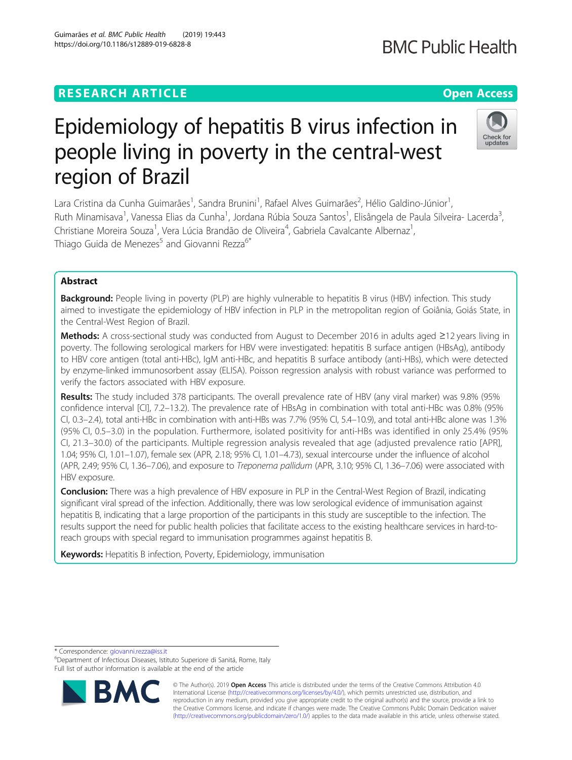# **RESEARCH ARTICLE Example 2014 12:30 The Contract of Contract ACCESS**

# Epidemiology of hepatitis B virus infection in people living in poverty in the central-west region of Brazil

Lara Cristina da Cunha Guimarães<sup>1</sup>, Sandra Brunini<sup>1</sup>, Rafael Alves Guimarães<sup>2</sup>, Hélio Galdino-Júnior<sup>1</sup> , Ruth Minamisava<sup>1</sup>, Vanessa Elias da Cunha<sup>1</sup>, Jordana Rúbia Souza Santos<sup>1</sup>, Elisângela de Paula Silveira- Lacerda<sup>3</sup> , Christiane Moreira Souza<sup>1</sup>, Vera Lúcia Brandão de Oliveira<sup>4</sup>, Gabriela Cavalcante Albernaz<sup>1</sup> , Thiago Guida de Menezes<sup>5</sup> and Giovanni Rezza<sup>6\*</sup>

# Abstract

Background: People living in poverty (PLP) are highly vulnerable to hepatitis B virus (HBV) infection. This study aimed to investigate the epidemiology of HBV infection in PLP in the metropolitan region of Goiânia, Goiás State, in the Central-West Region of Brazil.

Methods: A cross-sectional study was conducted from August to December 2016 in adults aged ≥12 years living in poverty. The following serological markers for HBV were investigated: hepatitis B surface antigen (HBsAg), antibody to HBV core antigen (total anti-HBc), IgM anti-HBc, and hepatitis B surface antibody (anti-HBs), which were detected by enzyme-linked immunosorbent assay (ELISA). Poisson regression analysis with robust variance was performed to verify the factors associated with HBV exposure.

Results: The study included 378 participants. The overall prevalence rate of HBV (any viral marker) was 9.8% (95% confidence interval [CI], 7.2–13.2). The prevalence rate of HBsAg in combination with total anti-HBc was 0.8% (95% CI, 0.3–2.4), total anti-HBc in combination with anti-HBs was 7.7% (95% CI, 5.4–10.9), and total anti-HBc alone was 1.3% (95% CI, 0.5–3.0) in the population. Furthermore, isolated positivity for anti-HBs was identified in only 25.4% (95% CI, 21.3–30.0) of the participants. Multiple regression analysis revealed that age (adjusted prevalence ratio [APR], 1.04; 95% CI, 1.01–1.07), female sex (APR, 2.18; 95% CI, 1.01–4.73), sexual intercourse under the influence of alcohol (APR, 2.49; 95% CI, 1.36–7.06), and exposure to Treponema pallidum (APR, 3.10; 95% CI, 1.36–7.06) were associated with HBV exposure.

Conclusion: There was a high prevalence of HBV exposure in PLP in the Central-West Region of Brazil, indicating significant viral spread of the infection. Additionally, there was low serological evidence of immunisation against hepatitis B, indicating that a large proportion of the participants in this study are susceptible to the infection. The results support the need for public health policies that facilitate access to the existing healthcare services in hard-toreach groups with special regard to immunisation programmes against hepatitis B.

Keywords: Hepatitis B infection, Poverty, Epidemiology, immunisation

\* Correspondence: [giovanni.rezza@iss.it](mailto:giovanni.rezza@iss.it) <sup>6</sup>

Department of Infectious Diseases, Istituto Superiore di Sanitá, Rome, Italy Full list of author information is available at the end of the article







undates

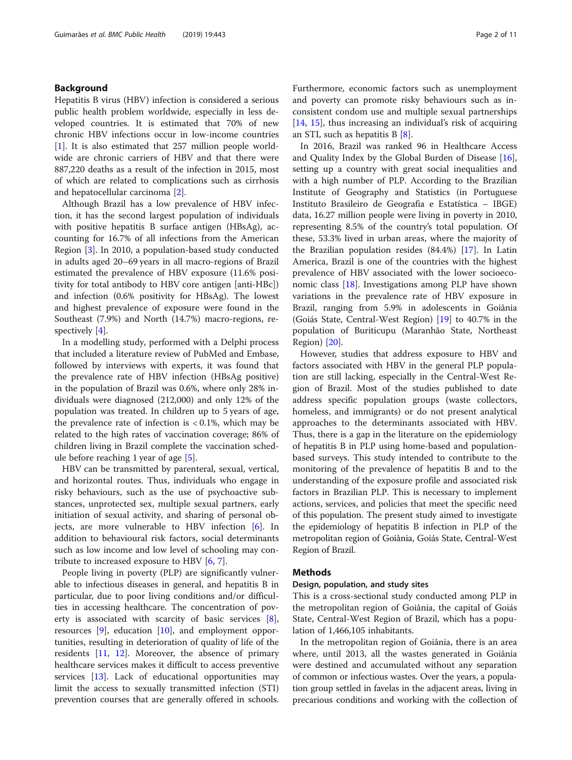# Background

Hepatitis B virus (HBV) infection is considered a serious public health problem worldwide, especially in less developed countries. It is estimated that 70% of new chronic HBV infections occur in low-income countries [[1\]](#page-9-0). It is also estimated that 257 million people worldwide are chronic carriers of HBV and that there were 887,220 deaths as a result of the infection in 2015, most of which are related to complications such as cirrhosis and hepatocellular carcinoma [[2\]](#page-9-0).

Although Brazil has a low prevalence of HBV infection, it has the second largest population of individuals with positive hepatitis B surface antigen (HBsAg), accounting for 16.7% of all infections from the American Region [\[3](#page-9-0)]. In 2010, a population-based study conducted in adults aged 20–69 years in all macro-regions of Brazil estimated the prevalence of HBV exposure (11.6% positivity for total antibody to HBV core antigen [anti-HBc]) and infection (0.6% positivity for HBsAg). The lowest and highest prevalence of exposure were found in the Southeast (7.9%) and North (14.7%) macro-regions, respectively [\[4](#page-9-0)].

In a modelling study, performed with a Delphi process that included a literature review of PubMed and Embase, followed by interviews with experts, it was found that the prevalence rate of HBV infection (HBsAg positive) in the population of Brazil was 0.6%, where only 28% individuals were diagnosed (212,000) and only 12% of the population was treated. In children up to 5 years of age, the prevalence rate of infection is  $< 0.1\%$ , which may be related to the high rates of vaccination coverage; 86% of children living in Brazil complete the vaccination schedule before reaching 1 year of age [\[5](#page-9-0)].

HBV can be transmitted by parenteral, sexual, vertical, and horizontal routes. Thus, individuals who engage in risky behaviours, such as the use of psychoactive substances, unprotected sex, multiple sexual partners, early initiation of sexual activity, and sharing of personal objects, are more vulnerable to HBV infection [\[6](#page-9-0)]. In addition to behavioural risk factors, social determinants such as low income and low level of schooling may contribute to increased exposure to HBV [[6,](#page-9-0) [7\]](#page-9-0).

People living in poverty (PLP) are significantly vulnerable to infectious diseases in general, and hepatitis B in particular, due to poor living conditions and/or difficulties in accessing healthcare. The concentration of poverty is associated with scarcity of basic services [\[8](#page-9-0)], resources [\[9](#page-9-0)], education [[10\]](#page-9-0), and employment opportunities, resulting in deterioration of quality of life of the residents [\[11](#page-10-0), [12\]](#page-10-0). Moreover, the absence of primary healthcare services makes it difficult to access preventive services [[13\]](#page-10-0). Lack of educational opportunities may limit the access to sexually transmitted infection (STI) prevention courses that are generally offered in schools. Furthermore, economic factors such as unemployment and poverty can promote risky behaviours such as inconsistent condom use and multiple sexual partnerships [[14,](#page-10-0) [15](#page-10-0)], thus increasing an individual's risk of acquiring an STI, such as hepatitis B [[8\]](#page-9-0).

In 2016, Brazil was ranked 96 in Healthcare Access and Quality Index by the Global Burden of Disease [\[16](#page-10-0)], setting up a country with great social inequalities and with a high number of PLP. According to the Brazilian Institute of Geography and Statistics (in Portuguese Instituto Brasileiro de Geografia e Estatística – IBGE) data, 16.27 million people were living in poverty in 2010, representing 8.5% of the country's total population. Of these, 53.3% lived in urban areas, where the majority of the Brazilian population resides (84.4%) [\[17](#page-10-0)]. In Latin America, Brazil is one of the countries with the highest prevalence of HBV associated with the lower socioeconomic class [[18\]](#page-10-0). Investigations among PLP have shown variations in the prevalence rate of HBV exposure in Brazil, ranging from 5.9% in adolescents in Goiânia (Goiás State, Central-West Region) [[19\]](#page-10-0) to 40.7% in the population of Buriticupu (Maranhão State, Northeast Region) [\[20](#page-10-0)].

However, studies that address exposure to HBV and factors associated with HBV in the general PLP population are still lacking, especially in the Central-West Region of Brazil. Most of the studies published to date address specific population groups (waste collectors, homeless, and immigrants) or do not present analytical approaches to the determinants associated with HBV. Thus, there is a gap in the literature on the epidemiology of hepatitis B in PLP using home-based and populationbased surveys. This study intended to contribute to the monitoring of the prevalence of hepatitis B and to the understanding of the exposure profile and associated risk factors in Brazilian PLP. This is necessary to implement actions, services, and policies that meet the specific need of this population. The present study aimed to investigate the epidemiology of hepatitis B infection in PLP of the metropolitan region of Goiânia, Goiás State, Central-West Region of Brazil.

# Methods

# Design, population, and study sites

This is a cross-sectional study conducted among PLP in the metropolitan region of Goiânia, the capital of Goiás State, Central-West Region of Brazil, which has a population of 1,466,105 inhabitants.

In the metropolitan region of Goiânia, there is an area where, until 2013, all the wastes generated in Goiânia were destined and accumulated without any separation of common or infectious wastes. Over the years, a population group settled in favelas in the adjacent areas, living in precarious conditions and working with the collection of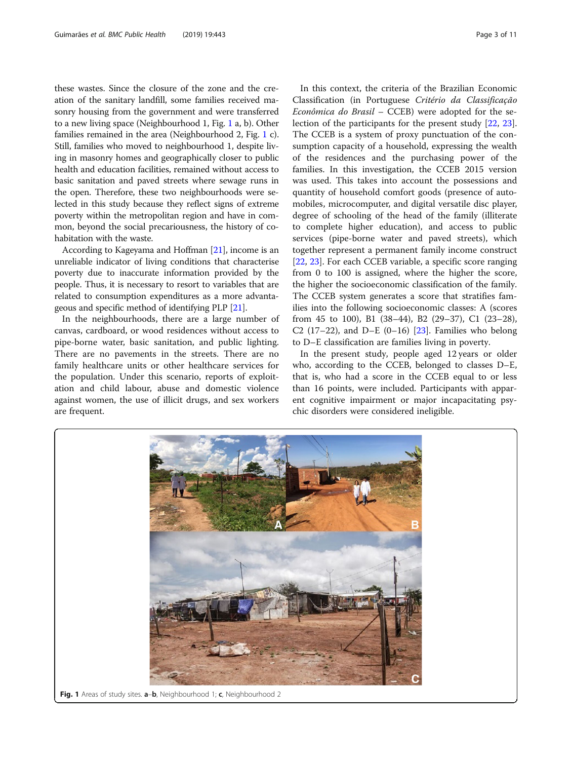these wastes. Since the closure of the zone and the creation of the sanitary landfill, some families received masonry housing from the government and were transferred to a new living space (Neighbourhood 1, Fig. 1 a, b). Other families remained in the area (Neighbourhood 2, Fig. 1 c). Still, families who moved to neighbourhood 1, despite living in masonry homes and geographically closer to public health and education facilities, remained without access to basic sanitation and paved streets where sewage runs in the open. Therefore, these two neighbourhoods were selected in this study because they reflect signs of extreme poverty within the metropolitan region and have in common, beyond the social precariousness, the history of cohabitation with the waste.

According to Kageyama and Hoffman [\[21\]](#page-10-0), income is an unreliable indicator of living conditions that characterise poverty due to inaccurate information provided by the people. Thus, it is necessary to resort to variables that are related to consumption expenditures as a more advantageous and specific method of identifying PLP [[21](#page-10-0)].

In the neighbourhoods, there are a large number of canvas, cardboard, or wood residences without access to pipe-borne water, basic sanitation, and public lighting. There are no pavements in the streets. There are no family healthcare units or other healthcare services for the population. Under this scenario, reports of exploitation and child labour, abuse and domestic violence against women, the use of illicit drugs, and sex workers are frequent.

In this context, the criteria of the Brazilian Economic Classification (in Portuguese Critério da Classificação Econômica do Brasil – CCEB) were adopted for the selection of the participants for the present study [\[22,](#page-10-0) [23](#page-10-0)]. The CCEB is a system of proxy punctuation of the consumption capacity of a household, expressing the wealth of the residences and the purchasing power of the families. In this investigation, the CCEB 2015 version was used. This takes into account the possessions and quantity of household comfort goods (presence of automobiles, microcomputer, and digital versatile disc player, degree of schooling of the head of the family (illiterate to complete higher education), and access to public services (pipe-borne water and paved streets), which together represent a permanent family income construct [[22,](#page-10-0) [23\]](#page-10-0). For each CCEB variable, a specific score ranging from 0 to 100 is assigned, where the higher the score, the higher the socioeconomic classification of the family. The CCEB system generates a score that stratifies families into the following socioeconomic classes: A (scores from 45 to 100), B1 (38–44), B2 (29–37), C1 (23–28), C2 (17–22), and D–E (0–16) [[23\]](#page-10-0). Families who belong to D–E classification are families living in poverty.

In the present study, people aged 12 years or older who, according to the CCEB, belonged to classes D–E, that is, who had a score in the CCEB equal to or less than 16 points, were included. Participants with apparent cognitive impairment or major incapacitating psychic disorders were considered ineligible.

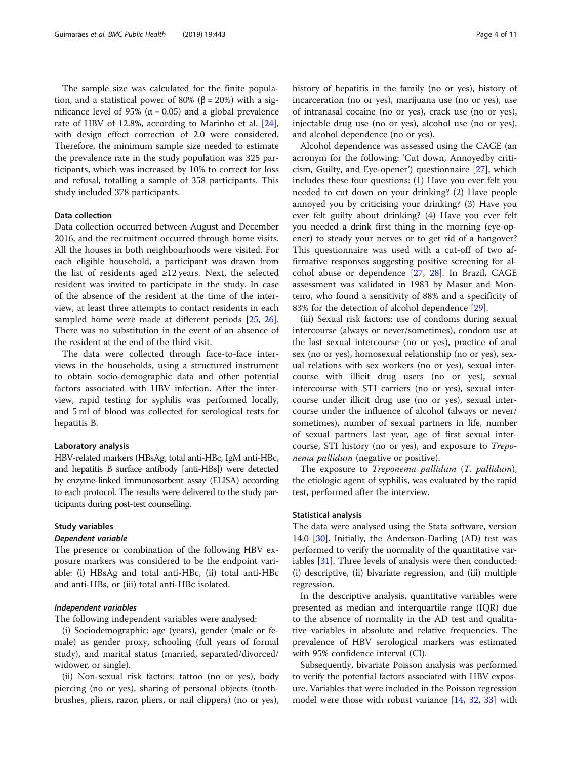The sample size was calculated for the finite population, and a statistical power of 80% (β = 20%) with a significance level of 95% ( $\alpha$  = 0.05) and a global prevalence rate of HBV of 12.8%, according to Marinho et al. [\[24](#page-10-0)], with design effect correction of 2.0 were considered. Therefore, the minimum sample size needed to estimate the prevalence rate in the study population was 325 participants, which was increased by 10% to correct for loss and refusal, totalling a sample of 358 participants. This study included 378 participants.

# Data collection

Data collection occurred between August and December 2016, and the recruitment occurred through home visits. All the houses in both neighbourhoods were visited. For each eligible household, a participant was drawn from the list of residents aged  $\geq 12$  years. Next, the selected resident was invited to participate in the study. In case of the absence of the resident at the time of the interview, at least three attempts to contact residents in each sampled home were made at different periods [\[25](#page-10-0), [26](#page-10-0)]. There was no substitution in the event of an absence of the resident at the end of the third visit.

The data were collected through face-to-face interviews in the households, using a structured instrument to obtain socio-demographic data and other potential factors associated with HBV infection. After the interview, rapid testing for syphilis was performed locally, and 5 ml of blood was collected for serological tests for hepatitis B.

# Laboratory analysis

HBV-related markers (HBsAg, total anti-HBc, IgM anti-HBc, and hepatitis B surface antibody [anti-HBs]) were detected by enzyme-linked immunosorbent assay (ELISA) according to each protocol. The results were delivered to the study participants during post-test counselling.

## Study variables

## Dependent variable

The presence or combination of the following HBV exposure markers was considered to be the endpoint variable: (i) HBsAg and total anti-HBc, (ii) total anti-HBc and anti-HBs, or (iii) total anti-HBc isolated.

# Independent variables

The following independent variables were analysed:

(i) Sociodemographic: age (years), gender (male or female) as gender proxy, schooling (full years of formal study), and marital status (married, separated/divorced/ widower, or single).

(ii) Non-sexual risk factors: tattoo (no or yes), body piercing (no or yes), sharing of personal objects (toothbrushes, pliers, razor, pliers, or nail clippers) (no or yes), history of hepatitis in the family (no or yes), history of incarceration (no or yes), marijuana use (no or yes), use of intranasal cocaine (no or yes), crack use (no or yes), injectable drug use (no or yes), alcohol use (no or yes), and alcohol dependence (no or yes).

Alcohol dependence was assessed using the CAGE (an acronym for the following: 'Cut down, Annoyedby criticism, Guilty, and Eye-opener') questionnaire [[27](#page-10-0)], which includes these four questions: (1) Have you ever felt you needed to cut down on your drinking? (2) Have people annoyed you by criticising your drinking? (3) Have you ever felt guilty about drinking? (4) Have you ever felt you needed a drink first thing in the morning (eye-opener) to steady your nerves or to get rid of a hangover? This questionnaire was used with a cut-off of two affirmative responses suggesting positive screening for alcohol abuse or dependence [[27,](#page-10-0) [28\]](#page-10-0). In Brazil, CAGE assessment was validated in 1983 by Masur and Monteiro, who found a sensitivity of 88% and a specificity of 83% for the detection of alcohol dependence [[29](#page-10-0)].

(iii) Sexual risk factors: use of condoms during sexual intercourse (always or never/sometimes), condom use at the last sexual intercourse (no or yes), practice of anal sex (no or yes), homosexual relationship (no or yes), sexual relations with sex workers (no or yes), sexual intercourse with illicit drug users (no or yes), sexual intercourse with STI carriers (no or yes), sexual intercourse under illicit drug use (no or yes), sexual intercourse under the influence of alcohol (always or never/ sometimes), number of sexual partners in life, number of sexual partners last year, age of first sexual intercourse, STI history (no or yes), and exposure to Treponema pallidum (negative or positive).

The exposure to Treponema pallidum (T. pallidum), the etiologic agent of syphilis, was evaluated by the rapid test, performed after the interview.

# Statistical analysis

The data were analysed using the Stata software, version 14.0 [[30\]](#page-10-0). Initially, the Anderson-Darling (AD) test was performed to verify the normality of the quantitative variables [[31\]](#page-10-0). Three levels of analysis were then conducted: (i) descriptive, (ii) bivariate regression, and (iii) multiple regression.

In the descriptive analysis, quantitative variables were presented as median and interquartile range (IQR) due to the absence of normality in the AD test and qualitative variables in absolute and relative frequencies. The prevalence of HBV serological markers was estimated with 95% confidence interval (CI).

Subsequently, bivariate Poisson analysis was performed to verify the potential factors associated with HBV exposure. Variables that were included in the Poisson regression model were those with robust variance [\[14,](#page-10-0) [32](#page-10-0), [33\]](#page-10-0) with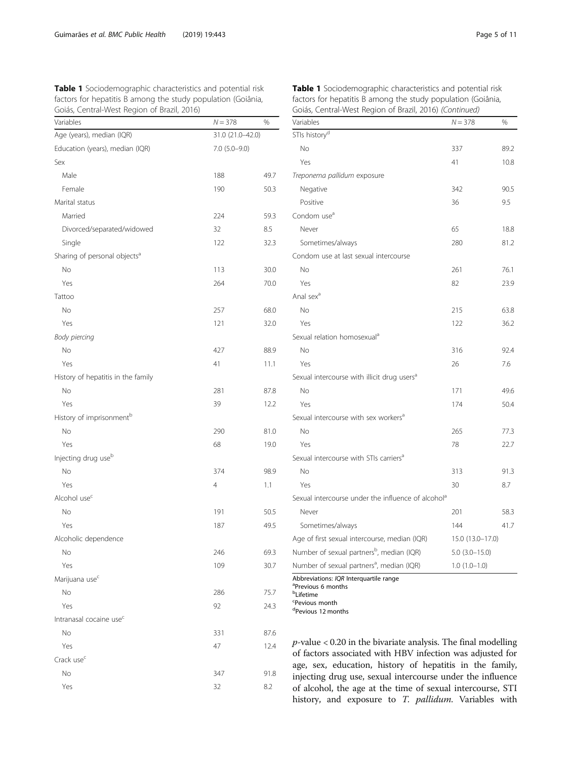<span id="page-4-0"></span>Table 1 Sociodemographic characteristics and potential risk factors for hepatitis B among the study population (Goiânia, Goiás, Central-West Region of Brazil, 2016)

| Variables                                | $N = 378$         | %    |  |
|------------------------------------------|-------------------|------|--|
| Age (years), median (IQR)                | 31.0 (21.0-42.0)  |      |  |
| Education (years), median (IQR)          | $7.0$ $(5.0-9.0)$ |      |  |
| Sex                                      |                   |      |  |
| Male                                     | 188               | 49.7 |  |
| Female                                   | 190               | 50.3 |  |
| Marital status                           |                   |      |  |
| Married                                  | 224               | 59.3 |  |
| Divorced/separated/widowed               | 32                | 8.5  |  |
| Single                                   | 122               | 32.3 |  |
| Sharing of personal objects <sup>a</sup> |                   |      |  |
| No                                       | 113               | 30.0 |  |
| Yes                                      | 264               | 70.0 |  |
| Tattoo                                   |                   |      |  |
| No                                       | 257               | 68.0 |  |
| Yes                                      | 121               | 32.0 |  |
| Body piercing                            |                   |      |  |
| No                                       | 427               | 88.9 |  |
| Yes                                      | 41                | 11.1 |  |
| History of hepatitis in the family       |                   |      |  |
| N <sub>o</sub>                           | 281               | 87.8 |  |
| Yes                                      | 39                | 12.2 |  |
| History of imprisonment <sup>b</sup>     |                   |      |  |
| No                                       | 290               | 81.0 |  |
| Yes                                      | 68                | 19.0 |  |
| Injecting drug use <sup>b</sup>          |                   |      |  |
| No                                       | 374               | 98.9 |  |
| Yes                                      | $\overline{4}$    | 1.1  |  |
| Alcohol use <sup>c</sup>                 |                   |      |  |
| No                                       | 191               | 50.5 |  |
| Yes                                      | 187               | 49.5 |  |
| Alcoholic dependence                     |                   |      |  |
| No                                       | 246               | 69.3 |  |
| Yes                                      | 109               | 30.7 |  |
| Marijuana use <sup>c</sup>               |                   |      |  |
| No                                       | 286               | 75.7 |  |
| Yes                                      | 92                | 24.3 |  |
| Intranasal cocaine use <sup>c</sup>      |                   |      |  |
| No                                       | 331               | 87.6 |  |
| Yes                                      | 47                | 12.4 |  |
| Crack use <sup>c</sup>                   |                   |      |  |
| No                                       | 347               | 91.8 |  |
| Yes                                      | 32                | 8.2  |  |

| Table 1 Sociodemographic characteristics and potential risk  |
|--------------------------------------------------------------|
| factors for hepatitis B among the study population (Goiânia, |
| Goiás, Central-West Region of Brazil, 2016) (Continued)      |

| Variables                                                                | $N = 378$            | %    |
|--------------------------------------------------------------------------|----------------------|------|
| STIs history <sup>d</sup>                                                |                      |      |
| No                                                                       | 337                  | 89.2 |
| Yes                                                                      | 41                   | 10.8 |
| Treponema pallidum exposure                                              |                      |      |
| Negative                                                                 | 342                  | 90.5 |
| Positive                                                                 | 36                   | 9.5  |
| Condom use <sup>a</sup>                                                  |                      |      |
| Never                                                                    | 65                   | 18.8 |
| Sometimes/always                                                         | 280                  | 81.2 |
| Condom use at last sexual intercourse                                    |                      |      |
| No                                                                       | 261                  | 76.1 |
| Yes                                                                      | 82                   | 23.9 |
| Anal sex <sup>a</sup>                                                    |                      |      |
| No                                                                       | 215                  | 63.8 |
| Yes                                                                      | 122                  | 36.2 |
| Sexual relation homosexual <sup>a</sup>                                  |                      |      |
| No                                                                       | 316                  | 92.4 |
| Yes                                                                      | 26                   | 7.6  |
| Sexual intercourse with illicit drug users <sup>a</sup>                  |                      |      |
| No                                                                       | 171                  | 49.6 |
| Yes                                                                      | 174                  | 50.4 |
| Sexual intercourse with sex workers <sup>a</sup>                         |                      |      |
| No                                                                       | 265                  | 77.3 |
| Yes                                                                      | 78                   | 22.7 |
| Sexual intercourse with STIs carriers <sup>a</sup>                       |                      |      |
| No                                                                       | 313                  | 91.3 |
| Yes                                                                      | 30                   | 8.7  |
| Sexual intercourse under the influence of alcohol <sup>a</sup>           |                      |      |
| Never                                                                    | 201                  | 58.3 |
| Sometimes/always                                                         | 144                  | 41.7 |
| Age of first sexual intercourse, median (IQR)                            | 15.0 (13.0-17.0)     |      |
| Number of sexual partners <sup>b</sup> , median (IQR)                    | $5.0$ $(3.0 - 15.0)$ |      |
| Number of sexual partners <sup>a</sup> , median (IQR)<br>$1.0(1.0-1.0)$  |                      |      |
| Abbreviations: IQR Interquartile range<br><sup>a</sup> Previous 6 months |                      |      |

b Lifetime

c Pevious month

d<sub>Pevious</sub> 12 months

 $p$ -value < 0.20 in the bivariate analysis. The final modelling of factors associated with HBV infection was adjusted for age, sex, education, history of hepatitis in the family, injecting drug use, sexual intercourse under the influence of alcohol, the age at the time of sexual intercourse, STI history, and exposure to T. pallidum. Variables with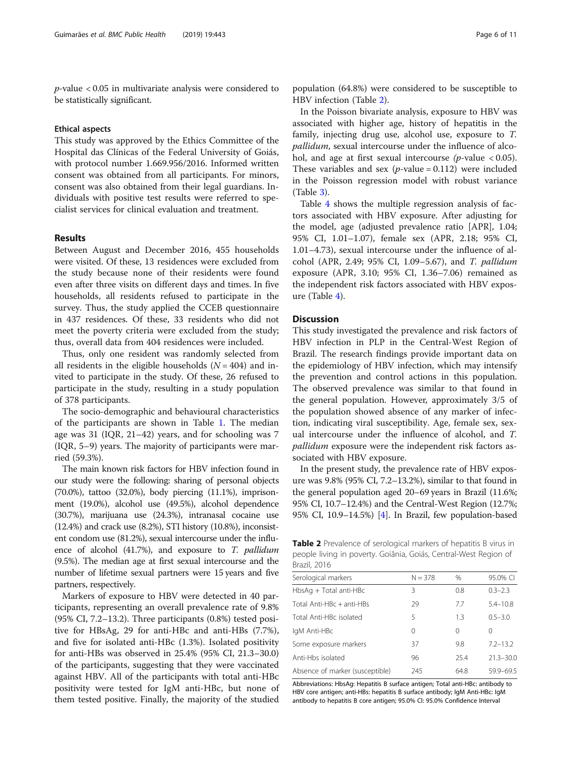p-value < 0.05 in multivariate analysis were considered to be statistically significant.

# Ethical aspects

This study was approved by the Ethics Committee of the Hospital das Clínicas of the Federal University of Goiás, with protocol number 1.669.956/2016. Informed written consent was obtained from all participants. For minors, consent was also obtained from their legal guardians. Individuals with positive test results were referred to specialist services for clinical evaluation and treatment.

# Results

Between August and December 2016, 455 households were visited. Of these, 13 residences were excluded from the study because none of their residents were found even after three visits on different days and times. In five households, all residents refused to participate in the survey. Thus, the study applied the CCEB questionnaire in 437 residences. Of these, 33 residents who did not meet the poverty criteria were excluded from the study; thus, overall data from 404 residences were included.

Thus, only one resident was randomly selected from all residents in the eligible households  $(N = 404)$  and invited to participate in the study. Of these, 26 refused to participate in the study, resulting in a study population of 378 participants.

The socio-demographic and behavioural characteristics of the participants are shown in Table [1.](#page-4-0) The median age was 31 (IQR, 21–42) years, and for schooling was 7 (IQR, 5–9) years. The majority of participants were married (59.3%).

The main known risk factors for HBV infection found in our study were the following: sharing of personal objects (70.0%), tattoo (32.0%), body piercing (11.1%), imprisonment (19.0%), alcohol use (49.5%), alcohol dependence (30.7%), marijuana use (24.3%), intranasal cocaine use (12.4%) and crack use (8.2%), STI history (10.8%), inconsistent condom use (81.2%), sexual intercourse under the influence of alcohol (41.7%), and exposure to T. pallidum (9.5%). The median age at first sexual intercourse and the number of lifetime sexual partners were 15 years and five partners, respectively.

Markers of exposure to HBV were detected in 40 participants, representing an overall prevalence rate of 9.8% (95% CI, 7.2–13.2). Three participants (0.8%) tested positive for HBsAg, 29 for anti-HBc and anti-HBs (7.7%), and five for isolated anti-HBc (1.3%). Isolated positivity for anti-HBs was observed in 25.4% (95% CI, 21.3–30.0) of the participants, suggesting that they were vaccinated against HBV. All of the participants with total anti-HBc positivity were tested for IgM anti-HBc, but none of them tested positive. Finally, the majority of the studied

population (64.8%) were considered to be susceptible to HBV infection (Table 2).

In the Poisson bivariate analysis, exposure to HBV was associated with higher age, history of hepatitis in the family, injecting drug use, alcohol use, exposure to T. pallidum, sexual intercourse under the influence of alcohol, and age at first sexual intercourse  $(p$ -value < 0.05). These variables and sex  $(p$ -value = 0.112) were included in the Poisson regression model with robust variance (Table [3\)](#page-6-0).

Table [4](#page-8-0) shows the multiple regression analysis of factors associated with HBV exposure. After adjusting for the model, age (adjusted prevalence ratio [APR], 1.04; 95% CI, 1.01–1.07), female sex (APR, 2.18; 95% CI, 1.01–4.73), sexual intercourse under the influence of alcohol (APR, 2.49; 95% CI, 1.09–5.67), and T. pallidum exposure (APR, 3.10; 95% CI, 1.36–7.06) remained as the independent risk factors associated with HBV exposure (Table [4](#page-8-0)).

# **Discussion**

This study investigated the prevalence and risk factors of HBV infection in PLP in the Central-West Region of Brazil. The research findings provide important data on the epidemiology of HBV infection, which may intensify the prevention and control actions in this population. The observed prevalence was similar to that found in the general population. However, approximately 3/5 of the population showed absence of any marker of infection, indicating viral susceptibility. Age, female sex, sexual intercourse under the influence of alcohol, and T. pallidum exposure were the independent risk factors associated with HBV exposure.

In the present study, the prevalence rate of HBV exposure was 9.8% (95% CI, 7.2–13.2%), similar to that found in the general population aged 20–69 years in Brazil (11.6%; 95% CI, 10.7–12.4%) and the Central-West Region (12.7%; 95% CI, 10.9–14.5%) [\[4](#page-9-0)]. In Brazil, few population-based

Table 2 Prevalence of serological markers of hepatitis B virus in people living in poverty. Goiânia, Goiás, Central-West Region of Brazil, 2016

| Serological markers             | $N = 378$ | $\frac{0}{0}$ | 95.0% CI      |
|---------------------------------|-----------|---------------|---------------|
| HbsAg + Total anti-HBc          | 3         | 0.8           | $0.3 - 2.3$   |
| Total Anti-HBc + anti-HBs       | 29        | 7.7           | $5.4 - 10.8$  |
| Total Anti-HBc isolated         | 5         | 1.3           | $0.5 - 3.0$   |
| lgM Anti-HBc                    | 0         | 0             | 0             |
| Some exposure markers           | 37        | 9.8           | $7.2 - 13.2$  |
| Anti-Hbs isolated               | 96        | 25.4          | $21.3 - 30.0$ |
| Absence of marker (susceptible) | 245       | 64.8          | 59.9-69.5     |

Abbreviations: HbsAg: Hepatitis B surface antigen; Total anti-HBc: antibody to HBV core antigen; anti-HBs: hepatitis B surface antibody; IgM Anti-HBc: IgM antibody to hepatitis B core antigen; 95.0% CI: 95.0% Confidence Interval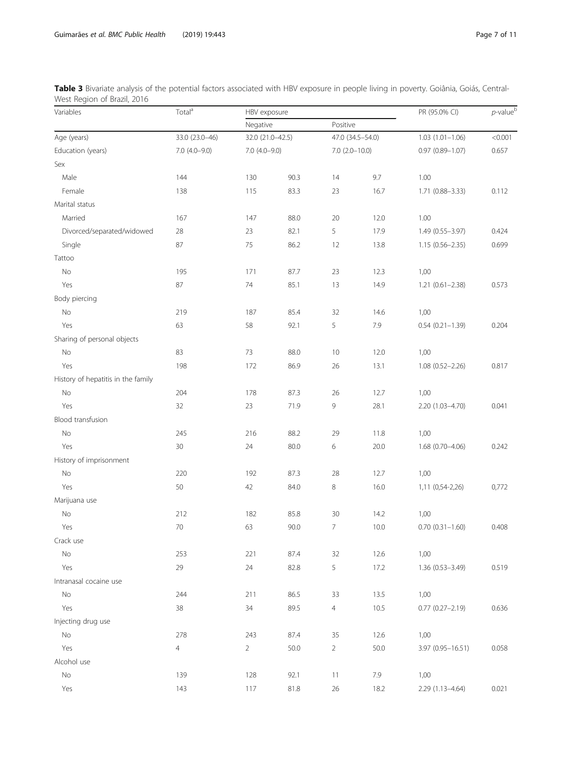| Variables                          | Total <sup>a</sup> | HBV exposure      |      |                                          |      | PR (95.0% CI)          | $p$ -value $b$ |
|------------------------------------|--------------------|-------------------|------|------------------------------------------|------|------------------------|----------------|
|                                    |                    | Negative          |      | Positive                                 |      |                        |                |
| Age (years)                        | 33.0 (23.0-46)     | 32.0 (21.0-42.5)  |      | 47.0 (34.5-54.0)<br>$7.0$ $(2.0 - 10.0)$ |      | $1.03(1.01 - 1.06)$    | < 0.001        |
| Education (years)                  | $7.0(4.0-9.0)$     | $7.0$ $(4.0-9.0)$ |      |                                          |      | $0.97(0.89 - 1.07)$    | 0.657          |
| Sex                                |                    |                   |      |                                          |      |                        |                |
| Male                               | 144                | 130               | 90.3 | 14                                       | 9.7  | 1.00                   |                |
| Female                             | 138                | 115               | 83.3 | 23                                       | 16.7 | $1.71(0.88 - 3.33)$    | 0.112          |
| Marital status                     |                    |                   |      |                                          |      |                        |                |
| Married                            | 167                | 147               | 88.0 | 20                                       | 12.0 | 1.00                   |                |
| Divorced/separated/widowed         | 28                 | 23                | 82.1 | 5                                        | 17.9 | 1.49 (0.55-3.97)       | 0.424          |
| Single                             | 87                 | 75                | 86.2 | 12                                       | 13.8 | $1.15(0.56 - 2.35)$    | 0.699          |
| Tattoo                             |                    |                   |      |                                          |      |                        |                |
| No                                 | 195                | 171               | 87.7 | 23                                       | 12.3 | 1,00                   |                |
| Yes                                | 87                 | 74                | 85.1 | 13                                       | 14.9 | $1.21 (0.61 - 2.38)$   | 0.573          |
| Body piercing                      |                    |                   |      |                                          |      |                        |                |
| No                                 | 219                | 187               | 85.4 | 32                                       | 14.6 | 1,00                   |                |
| Yes                                | 63                 | 58                | 92.1 | 5                                        | 7.9  | $0.54(0.21 - 1.39)$    | 0.204          |
| Sharing of personal objects        |                    |                   |      |                                          |      |                        |                |
| No                                 | 83                 | 73                | 88.0 | 10                                       | 12.0 | 1,00                   |                |
| Yes                                | 198                | 172               | 86.9 | 26                                       | 13.1 | 1.08 (0.52-2.26)       | 0.817          |
| History of hepatitis in the family |                    |                   |      |                                          |      |                        |                |
| No                                 | 204                | 178               | 87.3 | 26                                       | 12.7 | 1,00                   |                |
| Yes                                | 32                 | 23                | 71.9 | $\,9$                                    | 28.1 | 2.20 (1.03-4.70)       | 0.041          |
| Blood transfusion                  |                    |                   |      |                                          |      |                        |                |
| No                                 | 245                | 216               | 88.2 | 29                                       | 11.8 | 1,00                   |                |
| Yes                                | 30                 | 24                | 80.0 | $\,$ 6 $\,$                              | 20.0 | 1.68 (0.70-4.06)       | 0.242          |
| History of imprisonment            |                    |                   |      |                                          |      |                        |                |
| No                                 | 220                | 192               | 87.3 | 28                                       | 12.7 | 1,00                   |                |
| Yes                                | 50                 | 42                | 84.0 | $\,8\,$                                  | 16.0 | 1,11 (0,54-2,26)       | 0,772          |
| Marijuana use                      |                    |                   |      |                                          |      |                        |                |
| No                                 | 212                | 182               | 85.8 | $30\,$                                   | 14.2 | 1,00                   |                |
| Yes                                | 70                 | 63                | 90.0 | $\overline{7}$                           | 10.0 | $0.70(0.31 - 1.60)$    | 0.408          |
| Crack use                          |                    |                   |      |                                          |      |                        |                |
| No                                 | 253                | 221               | 87.4 | 32                                       | 12.6 | 1,00                   |                |
| Yes                                | 29                 | 24                | 82.8 | 5                                        | 17.2 | 1.36 (0.53-3.49)       | 0.519          |
| Intranasal cocaine use             |                    |                   |      |                                          |      |                        |                |
| No                                 | 244                | 211               | 86.5 | 33                                       | 13.5 | 1,00                   |                |
| Yes                                | 38                 | 34                | 89.5 | $\overline{4}$                           | 10.5 | $0.77$ $(0.27 - 2.19)$ | 0.636          |
| Injecting drug use                 |                    |                   |      |                                          |      |                        |                |
| No                                 | 278                | 243               | 87.4 | 35                                       | 12.6 | 1,00                   |                |
| Yes                                | 4                  | $\overline{2}$    | 50.0 | $\overline{2}$                           | 50.0 | 3.97 (0.95-16.51)      | 0.058          |
| Alcohol use                        |                    |                   |      |                                          |      |                        |                |
| No                                 | 139                | 128               | 92.1 | 11                                       | 7.9  | 1,00                   |                |
| Yes                                | 143                | 117               | 81.8 | 26                                       | 18.2 | 2.29 (1.13-4.64)       | 0.021          |

<span id="page-6-0"></span>Table 3 Bivariate analysis of the potential factors associated with HBV exposure in people living in poverty. Goiânia, Goiás, Central-West Region of Brazil, 2016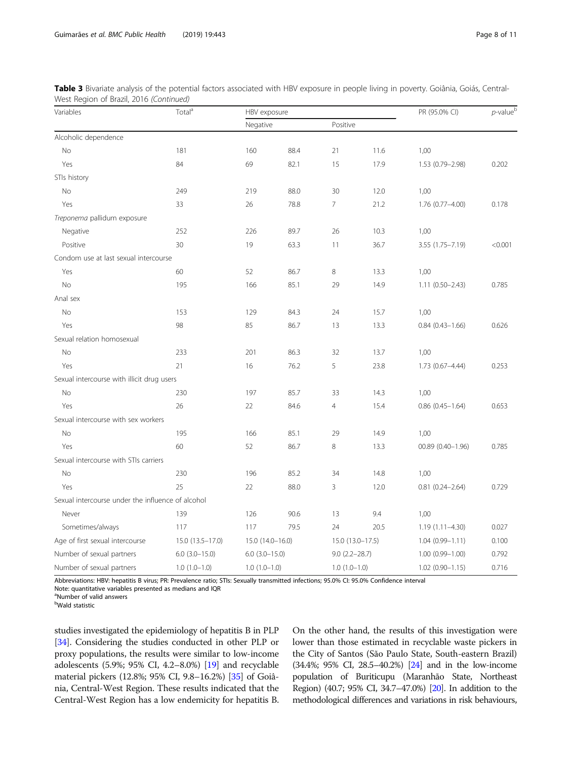| Variables                                         | Total <sup>a</sup> | HBV exposure       |      |                   |                  | PR (95.0% CI)          | $p$ -value $^{\rm b}$ |
|---------------------------------------------------|--------------------|--------------------|------|-------------------|------------------|------------------------|-----------------------|
|                                                   |                    | Negative           |      | Positive          |                  |                        |                       |
| Alcoholic dependence                              |                    |                    |      |                   |                  |                        |                       |
| No                                                | 181                | 160                | 88.4 | 21                | 11.6             | 1,00                   |                       |
| Yes                                               | 84                 | 69                 | 82.1 | 15                | 17.9             | 1.53 (0.79-2.98)       | 0.202                 |
| STIs history                                      |                    |                    |      |                   |                  |                        |                       |
| No                                                | 249                | 219                | 88.0 | 30                | 12.0             | 1,00                   |                       |
| Yes                                               | 33                 | 26                 | 78.8 | $\overline{7}$    | 21.2             | 1.76 (0.77-4.00)       | 0.178                 |
| Treponema pallidum exposure                       |                    |                    |      |                   |                  |                        |                       |
| Negative                                          | 252                | 226                | 89.7 | 26                | 10.3             | 1,00                   |                       |
| Positive                                          | 30                 | 19                 | 63.3 | 11                | 36.7             | 3.55 (1.75-7.19)       | < 0.001               |
| Condom use at last sexual intercourse             |                    |                    |      |                   |                  |                        |                       |
| Yes                                               | 60                 | 52                 | 86.7 | 8                 | 13.3             | 1,00                   |                       |
| No                                                | 195                | 166                | 85.1 | 29                | 14.9             | $1.11(0.50 - 2.43)$    | 0.785                 |
| Anal sex                                          |                    |                    |      |                   |                  |                        |                       |
| No                                                | 153                | 129                | 84.3 | 24                | 15.7             | 1,00                   |                       |
| Yes                                               | 98                 | 85                 | 86.7 | 13                | 13.3             | $0.84$ $(0.43 - 1.66)$ | 0.626                 |
| Sexual relation homosexual                        |                    |                    |      |                   |                  |                        |                       |
| No                                                | 233                | 201                | 86.3 | 32                | 13.7             | 1,00                   |                       |
| Yes                                               | 21                 | 16                 | 76.2 | 5                 | 23.8             | $1.73(0.67 - 4.44)$    | 0.253                 |
| Sexual intercourse with illicit drug users        |                    |                    |      |                   |                  |                        |                       |
| No                                                | 230                | 197                | 85.7 | 33                | 14.3             | 1,00                   |                       |
| Yes                                               | 26                 | 22                 | 84.6 | $\overline{4}$    | 15.4             | $0.86$ $(0.45 - 1.64)$ | 0.653                 |
| Sexual intercourse with sex workers               |                    |                    |      |                   |                  |                        |                       |
| No                                                | 195                | 166                | 85.1 | 29                | 14.9             | 1,00                   |                       |
| Yes                                               | 60                 | 52                 | 86.7 | 8                 | 13.3             | $00.89(0.40 - 1.96)$   | 0.785                 |
| Sexual intercourse with STIs carriers             |                    |                    |      |                   |                  |                        |                       |
| No                                                | 230                | 196                | 85.2 | 34                | 14.8             | 1,00                   |                       |
| Yes                                               | 25                 | 22                 | 88.0 | 3                 | 12.0             | $0.81(0.24 - 2.64)$    | 0.729                 |
| Sexual intercourse under the influence of alcohol |                    |                    |      |                   |                  |                        |                       |
| Never                                             | 139                | 126                | 90.6 | 13                | 9.4              | 1,00                   |                       |
| Sometimes/always                                  | 117                | 117                | 79.5 | 24                | 20.5             | $1.19(1.11 - 4.30)$    | 0.027                 |
| Age of first sexual intercourse                   | $15.0(13.5-17.0)$  | 15.0 (14.0-16.0)   |      |                   | 15.0 (13.0-17.5) | $1.04(0.99 - 1.11)$    | 0.100                 |
| Number of sexual partners                         | $6.0$ $(3.0-15.0)$ | $6.0$ $(3.0-15.0)$ |      | $9.0(2.2 - 28.7)$ |                  | $1.00(0.99 - 1.00)$    | 0.792                 |
| Number of sexual partners                         | $1.0(1.0-1.0)$     | $1.0(1.0-1.0)$     |      | $1.0(1.0-1.0)$    |                  | $1.02(0.90 - 1.15)$    | 0.716                 |

Table 3 Bivariate analysis of the potential factors associated with HBV exposure in people living in poverty. Goiânia, Goiás, Central-West Region of Brazil, 2016 (Continued)

Abbreviations: HBV: hepatitis B virus; PR: Prevalence ratio; STIs: Sexually transmitted infections; 95.0% CI: 95.0% Confidence interval

Note: quantitative variables presented as medians and IQR

<sup>a</sup>Number of valid answers

<sup>b</sup>Wald statistic

studies investigated the epidemiology of hepatitis B in PLP [[34](#page-10-0)]. Considering the studies conducted in other PLP or proxy populations, the results were similar to low-income adolescents (5.9%; 95% CI, 4.2–8.0%) [[19](#page-10-0)] and recyclable material pickers (12.8%; 95% CI, 9.8–16.2%) [[35\]](#page-10-0) of Goiânia, Central-West Region. These results indicated that the Central-West Region has a low endemicity for hepatitis B.

On the other hand, the results of this investigation were lower than those estimated in recyclable waste pickers in the City of Santos (São Paulo State, South-eastern Brazil) (34.4%; 95% CI, 28.5–40.2%) [\[24](#page-10-0)] and in the low-income population of Buriticupu (Maranhão State, Northeast Region) (40.7; 95% CI, 34.7–47.0%) [\[20](#page-10-0)]. In addition to the methodological differences and variations in risk behaviours,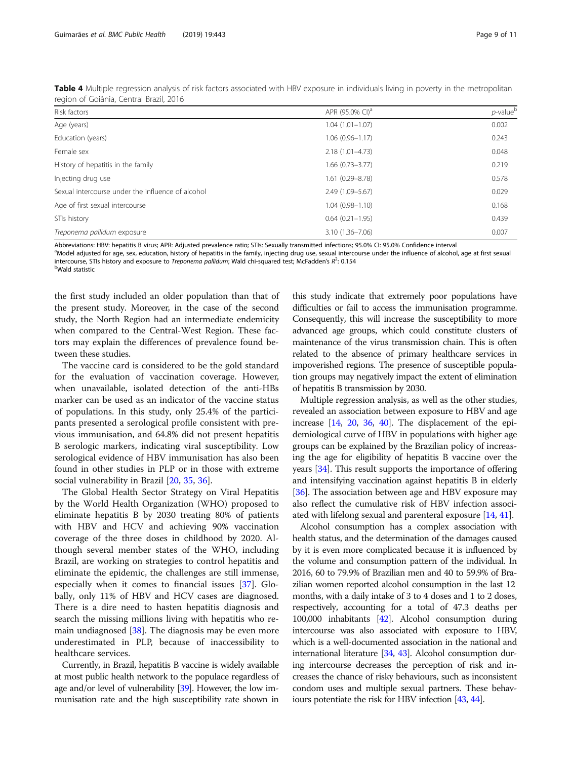| Risk factors                                      | APR (95.0% CI) <sup>a</sup> | $p$ -value $b$ |
|---------------------------------------------------|-----------------------------|----------------|
| Age (years)                                       | $1.04(1.01 - 1.07)$         | 0.002          |
| Education (years)                                 | $1.06(0.96 - 1.17)$         | 0.243          |
| Female sex                                        | $2.18(1.01 - 4.73)$         | 0.048          |
| History of hepatitis in the family                | $1.66(0.73 - 3.77)$         | 0.219          |
| Injecting drug use                                | 1.61 (0.29-8.78)            | 0.578          |
| Sexual intercourse under the influence of alcohol | 2.49 (1.09-5.67)            | 0.029          |
| Age of first sexual intercourse                   | $1.04(0.98 - 1.10)$         | 0.168          |
| STIs history                                      | $0.64(0.21 - 1.95)$         | 0.439          |
| Treponema pallidum exposure                       | $3.10(1.36 - 7.06)$         | 0.007          |

<span id="page-8-0"></span>Table 4 Multiple regression analysis of risk factors associated with HBV exposure in individuals living in poverty in the metropolitan region of Goiânia, Central Brazil, 2016

Abbreviations: HBV: hepatitis B virus; APR: Adjusted prevalence ratio; STIs: Sexually transmitted infections; 95.0% CI: 95.0% Confidence interval

<sup>a</sup>Model adjusted for age, sex, education, history of hepatitis in the family, injecting drug use, sexual intercourse under the influence of alcohol, age at first sexual intercourse, STIs history and exposure to *Treponema pallidum*; Wald chi-squared test; McFadden's R<sup>2</sup>: 0.154<br><sup>b</sup>Weld ctatistic Wald statistic

the first study included an older population than that of the present study. Moreover, in the case of the second study, the North Region had an intermediate endemicity when compared to the Central-West Region. These factors may explain the differences of prevalence found between these studies.

The vaccine card is considered to be the gold standard for the evaluation of vaccination coverage. However, when unavailable, isolated detection of the anti-HBs marker can be used as an indicator of the vaccine status of populations. In this study, only 25.4% of the participants presented a serological profile consistent with previous immunisation, and 64.8% did not present hepatitis B serologic markers, indicating viral susceptibility. Low serological evidence of HBV immunisation has also been found in other studies in PLP or in those with extreme social vulnerability in Brazil [\[20](#page-10-0), [35](#page-10-0), [36\]](#page-10-0).

The Global Health Sector Strategy on Viral Hepatitis by the World Health Organization (WHO) proposed to eliminate hepatitis B by 2030 treating 80% of patients with HBV and HCV and achieving 90% vaccination coverage of the three doses in childhood by 2020. Although several member states of the WHO, including Brazil, are working on strategies to control hepatitis and eliminate the epidemic, the challenges are still immense, especially when it comes to financial issues [\[37\]](#page-10-0). Globally, only 11% of HBV and HCV cases are diagnosed. There is a dire need to hasten hepatitis diagnosis and search the missing millions living with hepatitis who remain undiagnosed [[38\]](#page-10-0). The diagnosis may be even more underestimated in PLP, because of inaccessibility to healthcare services.

Currently, in Brazil, hepatitis B vaccine is widely available at most public health network to the populace regardless of age and/or level of vulnerability [\[39\]](#page-10-0). However, the low immunisation rate and the high susceptibility rate shown in

this study indicate that extremely poor populations have difficulties or fail to access the immunisation programme. Consequently, this will increase the susceptibility to more advanced age groups, which could constitute clusters of maintenance of the virus transmission chain. This is often related to the absence of primary healthcare services in impoverished regions. The presence of susceptible population groups may negatively impact the extent of elimination of hepatitis B transmission by 2030.

Multiple regression analysis, as well as the other studies, revealed an association between exposure to HBV and age increase [\[14,](#page-10-0) [20](#page-10-0), [36,](#page-10-0) [40\]](#page-10-0). The displacement of the epidemiological curve of HBV in populations with higher age groups can be explained by the Brazilian policy of increasing the age for eligibility of hepatitis B vaccine over the years [\[34\]](#page-10-0). This result supports the importance of offering and intensifying vaccination against hepatitis B in elderly [[36](#page-10-0)]. The association between age and HBV exposure may also reflect the cumulative risk of HBV infection associated with lifelong sexual and parenteral exposure [\[14,](#page-10-0) [41\]](#page-10-0).

Alcohol consumption has a complex association with health status, and the determination of the damages caused by it is even more complicated because it is influenced by the volume and consumption pattern of the individual. In 2016, 60 to 79.9% of Brazilian men and 40 to 59.9% of Brazilian women reported alcohol consumption in the last 12 months, with a daily intake of 3 to 4 doses and 1 to 2 doses, respectively, accounting for a total of 47.3 deaths per 100,000 inhabitants [\[42\]](#page-10-0). Alcohol consumption during intercourse was also associated with exposure to HBV, which is a well-documented association in the national and international literature [[34](#page-10-0), [43](#page-10-0)]. Alcohol consumption during intercourse decreases the perception of risk and increases the chance of risky behaviours, such as inconsistent condom uses and multiple sexual partners. These behaviours potentiate the risk for HBV infection [\[43,](#page-10-0) [44\]](#page-10-0).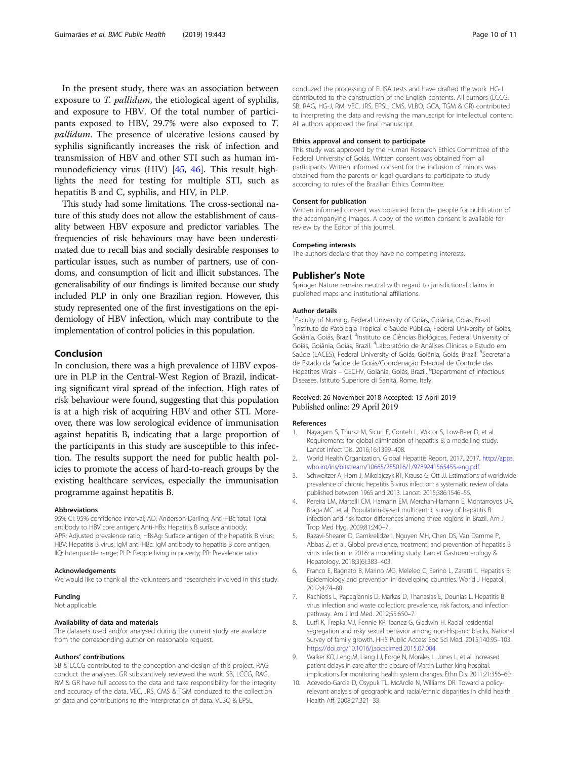<span id="page-9-0"></span>In the present study, there was an association between exposure to *T. pallidum*, the etiological agent of syphilis, and exposure to HBV. Of the total number of participants exposed to HBV, 29.7% were also exposed to T. pallidum. The presence of ulcerative lesions caused by syphilis significantly increases the risk of infection and transmission of HBV and other STI such as human immunodeficiency virus (HIV) [\[45](#page-10-0), [46\]](#page-10-0). This result highlights the need for testing for multiple STI, such as hepatitis B and C, syphilis, and HIV, in PLP.

This study had some limitations. The cross-sectional nature of this study does not allow the establishment of causality between HBV exposure and predictor variables. The frequencies of risk behaviours may have been underestimated due to recall bias and socially desirable responses to particular issues, such as number of partners, use of condoms, and consumption of licit and illicit substances. The generalisability of our findings is limited because our study included PLP in only one Brazilian region. However, this study represented one of the first investigations on the epidemiology of HBV infection, which may contribute to the implementation of control policies in this population.

# Conclusion

In conclusion, there was a high prevalence of HBV exposure in PLP in the Central-West Region of Brazil, indicating significant viral spread of the infection. High rates of risk behaviour were found, suggesting that this population is at a high risk of acquiring HBV and other STI. Moreover, there was low serological evidence of immunisation against hepatitis B, indicating that a large proportion of the participants in this study are susceptible to this infection. The results support the need for public health policies to promote the access of hard-to-reach groups by the existing healthcare services, especially the immunisation programme against hepatitis B.

#### Abbreviations

95% CI: 95% confidence interval; AD: Anderson-Darling; Anti-HBc total: Total antibody to HBV core antigen; Anti-HBs: Hepatitis B surface antibody; APR: Adjusted prevalence ratio; HBsAg: Surface antigen of the hepatitis B virus; HBV: Hepatitis B virus; IgM anti-HBc: IgM antibody to hepatitis B core antigen; IIQ: Interquartile range; PLP: People living in poverty; PR: Prevalence ratio

#### Acknowledgements

We would like to thank all the volunteers and researchers involved in this study.

#### Funding

Not applicable.

## Availability of data and materials

The datasets used and/or analysed during the current study are available from the corresponding author on reasonable request.

#### Authors' contributions

SB & LCCG contributed to the conception and design of this project. RAG conduct the analyses. GR substantively reviewed the work. SB, LCCG, RAG, RM & GR have full access to the data and take responsibility for the integrity and accuracy of the data. VEC, JRS, CMS & TGM conduzed to the collection of data and contributions to the interpretation of data. VLBO & EPSL

conduzed the processing of ELISA tests and have drafted the work. HG-J contributed to the construction of the English contents. All authors (LCCG, SB, RAG, HG-J, RM, VEC, JRS, EPSL, CMS, VLBO, GCA, TGM & GR) contributed to interpreting the data and revising the manuscript for intellectual content. All authors approved the final manuscript.

#### Ethics approval and consent to participate

This study was approved by the Human Research Ethics Committee of the Federal University of Goiás. Written consent was obtained from all participants. Written informed consent for the inclusion of minors was obtained from the parents or legal guardians to participate to study according to rules of the Brazilian Ethics Committee.

#### Consent for publication

Written informed consent was obtained from the people for publication of the accompanying images. A copy of the written consent is available for review by the Editor of this journal.

#### Competing interests

The authors declare that they have no competing interests.

# Publisher's Note

Springer Nature remains neutral with regard to jurisdictional claims in published maps and institutional affiliations.

#### Author details

<sup>1</sup> Faculty of Nursing, Federal University of Goiás, Goiânia, Goiás, Brazil <sup>2</sup>Instituto de Patologia Tropical e Saúde Pública, Federal University of Goiás, Goiânia, Goiás, Brazil. <sup>3</sup>Instituto de Ciências Biológicas, Federal University of Goiás, Goiânia, Goiás, Brazil. <sup>4</sup> Laboratório de Análises Clínicas e Estudo em Saúde (LACES), Federal University of Goiás, Goiânia, Goiás, Brazil. <sup>5</sup>Secretaria de Estado da Saúde de Goiás/Coordenação Estadual de Controle das Hepatites Virais - CECHV, Goiânia, Goiás, Brazil. <sup>6</sup>Department of Infectious Diseases, Istituto Superiore di Sanitá, Rome, Italy.

# Received: 26 November 2018 Accepted: 15 April 2019 Published online: 29 April 2019

#### References

- 1. Nayagam S, Thursz M, Sicuri E, Conteh L, Wiktor S, Low-Beer D, et al. Requirements for global elimination of hepatitis B: a modelling study. Lancet Infect Dis. 2016;16:1399–408.
- 2. World Health Organization. Global Hepatitis Report, 2017. 2017. [http://apps.](http://apps.who.int/iris/bitstream/10665/255016/1/9789241565455-eng.pdf) [who.int/iris/bitstream/10665/255016/1/9789241565455-eng.pdf](http://apps.who.int/iris/bitstream/10665/255016/1/9789241565455-eng.pdf).
- 3. Schweitzer A, Horn J, Mikolajczyk RT, Krause G, Ott JJ. Estimations of worldwide prevalence of chronic hepatitis B virus infection: a systematic review of data published between 1965 and 2013. Lancet. 2015;386:1546–55.
- 4. Pereira LM, Martelli CM, Hamann EM, Merchán-Hamann E, Montarroyos UR, Braga MC, et al. Population-based multicentric survey of hepatitis B infection and risk factor differences among three regions in Brazil. Am J Trop Med Hyg. 2009;81:240–7.
- 5. Razavi-Shearer D, Gamkrelidze I, Nguyen MH, Chen DS, Van Damme P, Abbas Z, et al. Global prevalence, treatment, and prevention of hepatitis B virus infection in 2016: a modelling study. Lancet Gastroenterology & Hepatology. 2018;3(6):383–403.
- Franco E, Bagnato B, Marino MG, Meleleo C, Serino L, Zaratti L. Hepatitis B: Epidemiology and prevention in developing countries. World J Hepatol. 2012;4:74–80.
- 7. Rachiotis L, Papagiannis D, Markas D, Thanasias E, Dounias L. Hepatitis B virus infection and waste collection: prevalence, risk factors, and infection pathway. Am J Ind Med. 2012;55:650–7.
- Lutfi K, Trepka MJ, Fennie KP, Ibanez G, Gladwin H. Racial residential segregation and risky sexual behavior among non-Hispanic blacks, National Survey of family growth. HHS Public Access Soc Sci Med. 2015;140:95–103. [https://doi.org/10.1016/j.socscimed.2015.07.004.](https://doi.org/10.1016/j.socscimed.2015.07.004)
- 9. Walker KO, Leng M, Liang LJ, Forge N, Morales L, Jones L, et al. Increased patient delays in care after the closure of Martin Luther king hospital: implications for monitoring health system changes. Ethn Dis. 2011;21:356–60.
- 10. Acevedo-Garcia D, Osypuk TL, McArdle N, Williams DR. Toward a policyrelevant analysis of geographic and racial/ethnic disparities in child health. Health Aff. 2008;27:321–33.